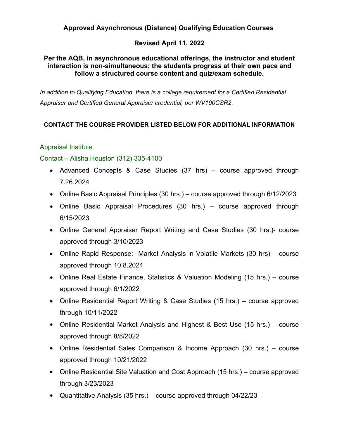## **Approved Asynchronous (Distance) Qualifying Education Courses**

### **Revised April 11, 2022**

#### **Per the AQB, in asynchronous educational offerings, the instructor and student interaction is non-simultaneous; the students progress at their own pace and follow a structured course content and quiz/exam schedule.**

*In addition to Qualifying Education, there is a college requirement for a Certified Residential Appraiser and Certified General Appraiser credential, per WV190CSR2.*

### **CONTACT THE COURSE PROVIDER LISTED BELOW FOR ADDITIONAL INFORMATION**

### Appraisal Institute

#### Contact – Alisha Houston (312) 335-4100

- Advanced Concepts & Case Studies (37 hrs) course approved through 7.26.2024
- Online Basic Appraisal Principles (30 hrs.) course approved through 6/12/2023
- Online Basic Appraisal Procedures (30 hrs.) course approved through 6/15/2023
- Online General Appraiser Report Writing and Case Studies (30 hrs.)- course approved through 3/10/2023
- Online Rapid Response: Market Analysis in Volatile Markets (30 hrs) course approved through 10.8.2024
- Online Real Estate Finance, Statistics & Valuation Modeling (15 hrs.) course approved through 6/1/2022
- Online Residential Report Writing & Case Studies (15 hrs.) course approved through 10/11/2022
- Online Residential Market Analysis and Highest & Best Use (15 hrs.) course approved through 8/8/2022
- Online Residential Sales Comparison & Income Approach (30 hrs.) course approved through 10/21/2022
- Online Residential Site Valuation and Cost Approach (15 hrs.) course approved through 3/23/2023
- Quantitative Analysis (35 hrs.) course approved through 04/22/23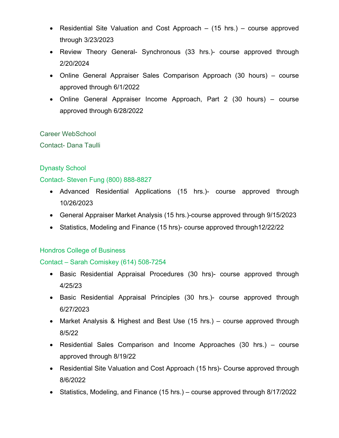- Residential Site Valuation and Cost Approach (15 hrs.) course approved through 3/23/2023
- Review Theory General- Synchronous (33 hrs.)- course approved through 2/20/2024
- Online General Appraiser Sales Comparison Approach (30 hours) course approved through 6/1/2022
- Online General Appraiser Income Approach, Part 2 (30 hours) course approved through 6/28/2022

Career WebSchool

Contact- Dana Taulli

# Dynasty School

### Contact- Steven Fung (800) 888-8827

- Advanced Residential Applications (15 hrs.)- course approved through 10/26/2023
- General Appraiser Market Analysis (15 hrs.)-course approved through 9/15/2023
- Statistics, Modeling and Finance (15 hrs)- course approved through12/22/22

# Hondros College of Business

# Contact – Sarah Comiskey (614) 508-7254

- Basic Residential Appraisal Procedures (30 hrs)- course approved through 4/25/23
- Basic Residential Appraisal Principles (30 hrs.)- course approved through 6/27/2023
- Market Analysis & Highest and Best Use (15 hrs.) course approved through 8/5/22
- Residential Sales Comparison and Income Approaches (30 hrs.) course approved through 8/19/22
- Residential Site Valuation and Cost Approach (15 hrs)- Course approved through 8/6/2022
- Statistics, Modeling, and Finance (15 hrs.) course approved through 8/17/2022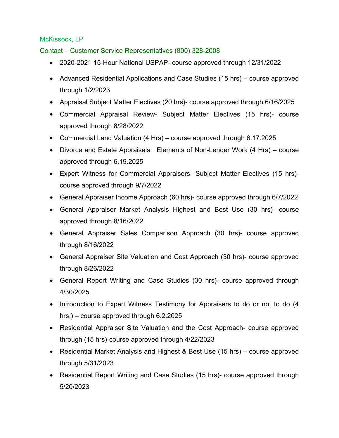# McKissock, LP

Contact – Customer Service Representatives (800) 328-2008

- 2020-2021 15-Hour National USPAP- course approved through 12/31/2022
- Advanced Residential Applications and Case Studies (15 hrs) course approved through 1/2/2023
- Appraisal Subject Matter Electives (20 hrs)- course approved through 6/16/2025
- Commercial Appraisal Review- Subject Matter Electives (15 hrs)- course approved through 8/28/2022
- Commercial Land Valuation (4 Hrs) course approved through 6.17.2025
- Divorce and Estate Appraisals: Elements of Non-Lender Work (4 Hrs) course approved through 6.19.2025
- Expert Witness for Commercial Appraisers- Subject Matter Electives (15 hrs) course approved through 9/7/2022
- General Appraiser Income Approach (60 hrs)- course approved through 6/7/2022
- General Appraiser Market Analysis Highest and Best Use (30 hrs)- course approved through 8/16/2022
- General Appraiser Sales Comparison Approach (30 hrs)- course approved through 8/16/2022
- General Appraiser Site Valuation and Cost Approach (30 hrs)- course approved through 8/26/2022
- General Report Writing and Case Studies (30 hrs)- course approved through 4/30/2025
- Introduction to Expert Witness Testimony for Appraisers to do or not to do (4 hrs.) – course approved through 6.2.2025
- Residential Appraiser Site Valuation and the Cost Approach- course approved through (15 hrs)-course approved through 4/22/2023
- Residential Market Analysis and Highest & Best Use (15 hrs) course approved through 5/31/2023
- Residential Report Writing and Case Studies (15 hrs)- course approved through 5/20/2023